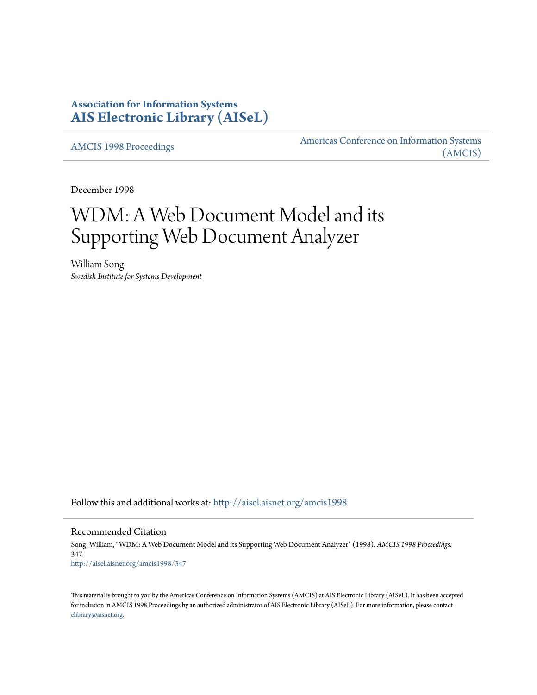# **Association for Information Systems [AIS Electronic Library \(AISeL\)](http://aisel.aisnet.org?utm_source=aisel.aisnet.org%2Famcis1998%2F347&utm_medium=PDF&utm_campaign=PDFCoverPages)**

[AMCIS 1998 Proceedings](http://aisel.aisnet.org/amcis1998?utm_source=aisel.aisnet.org%2Famcis1998%2F347&utm_medium=PDF&utm_campaign=PDFCoverPages)

[Americas Conference on Information Systems](http://aisel.aisnet.org/amcis?utm_source=aisel.aisnet.org%2Famcis1998%2F347&utm_medium=PDF&utm_campaign=PDFCoverPages) [\(AMCIS\)](http://aisel.aisnet.org/amcis?utm_source=aisel.aisnet.org%2Famcis1998%2F347&utm_medium=PDF&utm_campaign=PDFCoverPages)

December 1998

# WDM: A Web Document Model and its Supporting Web Document Analyzer

William Song *Swedish Institute for Systems Development*

Follow this and additional works at: [http://aisel.aisnet.org/amcis1998](http://aisel.aisnet.org/amcis1998?utm_source=aisel.aisnet.org%2Famcis1998%2F347&utm_medium=PDF&utm_campaign=PDFCoverPages)

Recommended Citation

Song, William, "WDM: A Web Document Model and its Supporting Web Document Analyzer" (1998). *AMCIS 1998 Proceedings*. 347. [http://aisel.aisnet.org/amcis1998/347](http://aisel.aisnet.org/amcis1998/347?utm_source=aisel.aisnet.org%2Famcis1998%2F347&utm_medium=PDF&utm_campaign=PDFCoverPages)

This material is brought to you by the Americas Conference on Information Systems (AMCIS) at AIS Electronic Library (AISeL). It has been accepted for inclusion in AMCIS 1998 Proceedings by an authorized administrator of AIS Electronic Library (AISeL). For more information, please contact [elibrary@aisnet.org.](mailto:elibrary@aisnet.org%3E)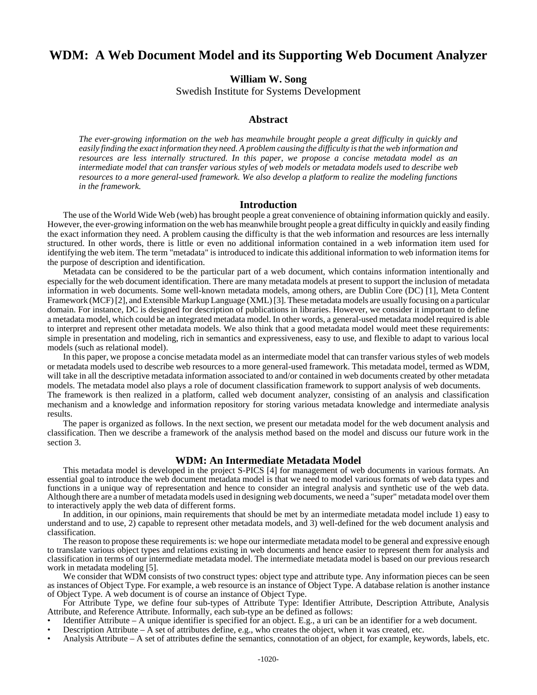# **WDM: A Web Document Model and its Supporting Web Document Analyzer**

**William W. Song**

Swedish Institute for Systems Development

### **Abstract**

*The ever-growing information on the web has meanwhile brought people a great difficulty in quickly and easily finding the exact information they need. A problem causing the difficulty is that the web information and resources are less internally structured. In this paper, we propose a concise metadata model as an intermediate model that can transfer various styles of web models or metadata models used to describe web resources to a more general-used framework. We also develop a platform to realize the modeling functions in the framework.*

#### **Introduction**

The use of the World Wide Web (web) has brought people a great convenience of obtaining information quickly and easily. However, the ever-growing information on the web has meanwhile brought people a great difficulty in quickly and easily finding the exact information they need. A problem causing the difficulty is that the web information and resources are less internally structured. In other words, there is little or even no additional information contained in a web information item used for identifying the web item. The term "metadata" is introduced to indicate this additional information to web information items for the purpose of description and identification.

Metadata can be considered to be the particular part of a web document, which contains information intentionally and especially for the web document identification. There are many metadata models at present to support the inclusion of metadata information in web documents. Some well-known metadata models, among others, are Dublin Core (DC) [1], Meta Content Framework (MCF) [2], and Extensible Markup Language (XML) [3]. These metadata models are usually focusing on a particular domain. For instance, DC is designed for description of publications in libraries. However, we consider it important to define a metadata model, which could be an integrated metadata model. In other words, a general-used metadata model required is able to interpret and represent other metadata models. We also think that a good metadata model would meet these requirements: simple in presentation and modeling, rich in semantics and expressiveness, easy to use, and flexible to adapt to various local models (such as relational model).

In this paper, we propose a concise metadata model as an intermediate model that can transfer various styles of web models or metadata models used to describe web resources to a more general-used framework. This metadata model, termed as WDM, will take in all the descriptive metadata information associated to and/or contained in web documents created by other metadata models. The metadata model also plays a role of document classification framework to support analysis of web documents.

The framework is then realized in a platform, called web document analyzer, consisting of an analysis and classification mechanism and a knowledge and information repository for storing various metadata knowledge and intermediate analysis results.

The paper is organized as follows. In the next section, we present our metadata model for the web document analysis and classification. Then we describe a framework of the analysis method based on the model and discuss our future work in the section 3.

#### **WDM: An Intermediate Metadata Model**

This metadata model is developed in the project S-PICS [4] for management of web documents in various formats. An essential goal to introduce the web document metadata model is that we need to model various formats of web data types and functions in a unique way of representation and hence to consider an integral analysis and synthetic use of the web data. Although there are a number of metadata models used in designing web documents, we need a "super" metadata model over them to interactively apply the web data of different forms.

In addition, in our opinions, main requirements that should be met by an intermediate metadata model include 1) easy to understand and to use, 2) capable to represent other metadata models, and 3) well-defined for the web document analysis and classification.

The reason to propose these requirements is: we hope our intermediate metadata model to be general and expressive enough to translate various object types and relations existing in web documents and hence easier to represent them for analysis and classification in terms of our intermediate metadata model. The intermediate metadata model is based on our previous research work in metadata modeling [5].

We consider that WDM consists of two construct types: object type and attribute type. Any information pieces can be seen as instances of Object Type. For example, a web resource is an instance of Object Type. A database relation is another instance of Object Type. A web document is of course an instance of Object Type.

For Attribute Type, we define four sub-types of Attribute Type: Identifier Attribute, Description Attribute, Analysis Attribute, and Reference Attribute. Informally, each sub-type an be defined as follows:

- Identifier Attribute A unique identifier is specified for an object. E.g., a uri can be an identifier for a web document.
- Description Attribute A set of attributes define, e.g., who creates the object, when it was created, etc.
- Analysis Attribute A set of attributes define the semantics, connotation of an object, for example, keywords, labels, etc.